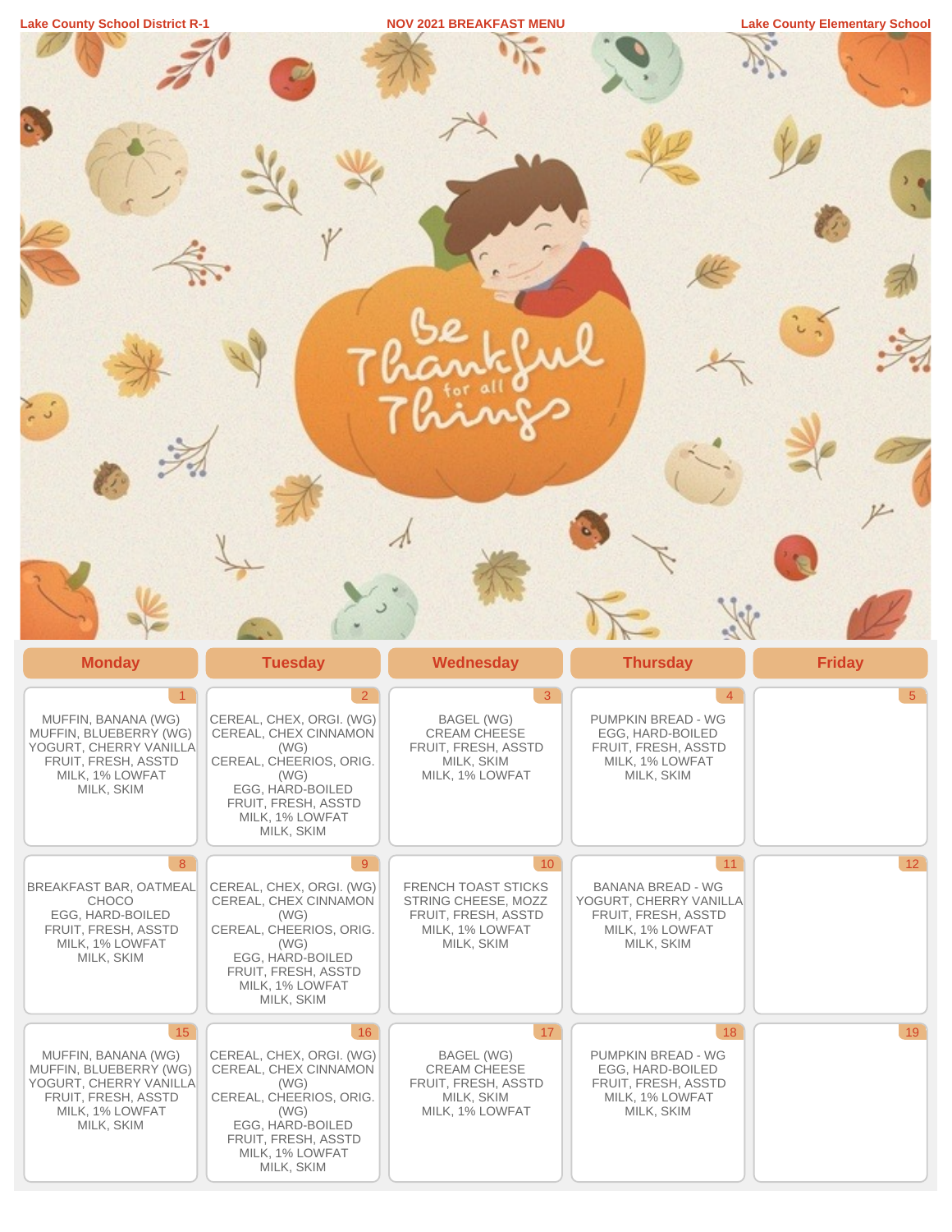| <b>Lake County School District R-1</b> | <b>NOV 2021 BREAKFAST MENU</b> | . Online all<br>Lake County Elementary School |
|----------------------------------------|--------------------------------|-----------------------------------------------|
|                                        |                                |                                               |

| õ,                                                                                                                                                                 |                                                                                                                                                                                                              |                                                                                                                                 |                                                                                                                                     |                             |
|--------------------------------------------------------------------------------------------------------------------------------------------------------------------|--------------------------------------------------------------------------------------------------------------------------------------------------------------------------------------------------------------|---------------------------------------------------------------------------------------------------------------------------------|-------------------------------------------------------------------------------------------------------------------------------------|-----------------------------|
| $\frac{1}{2}$                                                                                                                                                      |                                                                                                                                                                                                              |                                                                                                                                 |                                                                                                                                     |                             |
| <b>Monday</b><br>$\overline{1}$<br>MUFFIN, BANANA (WG)<br>MUFFIN, BLUEBERRY (WG)<br>YOGURT, CHERRY VANILLA<br>FRUIT, FRESH, ASSTD<br>MILK, 1% LOWFAT<br>MILK, SKIM | <b>Tuesday</b><br>$\overline{2}$<br>CEREAL, CHEX, ORGI. (WG)<br>CEREAL, CHEX CINNAMON<br>(WG)<br>CEREAL, CHEERIOS, ORIG.<br>(WG)<br>EGG, HARD-BOILED<br>FRUIT, FRESH, ASSTD<br>MILK, 1% LOWFAT<br>MILK, SKIM | <b>Wednesday</b><br>$\overline{3}$<br>BAGEL (WG)<br><b>CREAM CHEESE</b><br>FRUIT, FRESH, ASSTD<br>MILK, SKIM<br>MILK, 1% LOWFAT | <b>Thursday</b><br>$\overline{4}$<br>PUMPKIN BREAD - WG<br>EGG, HARD-BOILED<br>FRUIT, FRESH, ASSTD<br>MILK, 1% LOWFAT<br>MILK, SKIM | <b>Friday</b><br>$\sqrt{5}$ |
| 8<br><b>BREAKFAST BAR, OATMEAL</b><br><b>CHOCO</b><br>EGG, HARD-BOILED<br>FRUIT, FRESH, ASSTD<br>MILK, 1% LOWFAT<br>MILK, SKIM                                     | $9^{\circ}$<br>CEREAL, CHEX, ORGI. (WG)<br>CEREAL, CHEX CINNAMON<br>(WG)<br>CEREAL, CHEERIOS, ORIG.<br>(WG)<br>EGG, HARD-BOILED<br>FRUIT, FRESH, ASSTD<br>MILK, 1% LOWFAT<br>MILK, SKIM                      | 10<br>FRENCH TOAST STICKS<br>STRING CHEESE, MOZZ<br>FRUIT, FRESH, ASSTD<br>MILK, 1% LOWFAT<br>MILK, SKIM                        | 11<br><b>BANANA BREAD - WG</b><br>YOGURT, CHERRY VANILLA<br>FRUIT, FRESH, ASSTD<br>MILK, 1% LOWFAT<br>MILK, SKIM                    | 12                          |
| 15<br>MUFFIN, BANANA (WG)<br>MUFFIN, BLUEBERRY (WG)<br>YOGURT, CHERRY VANILLA<br>FRUIT, FRESH, ASSTD<br>MILK, 1% LOWFAT<br>MILK, SKIM                              | 16<br>CEREAL, CHEX, ORGI. (WG)<br>CEREAL, CHEX CINNAMON<br>(WG)<br>CEREAL, CHEERIOS, ORIG.<br>(WG)<br>EGG, HARD-BOILED<br>FRUIT, FRESH, ASSTD<br>MILK, 1% LOWFAT                                             | 17<br>BAGEL (WG)<br><b>CREAM CHEESE</b><br>FRUIT, FRESH, ASSTD<br>MILK, SKIM<br>MILK, 1% LOWFAT                                 | 18<br>PUMPKIN BREAD - WG<br>EGG, HARD-BOILED<br>FRUIT, FRESH, ASSTD<br>MILK, 1% LOWFAT<br>MILK, SKIM                                | 19                          |